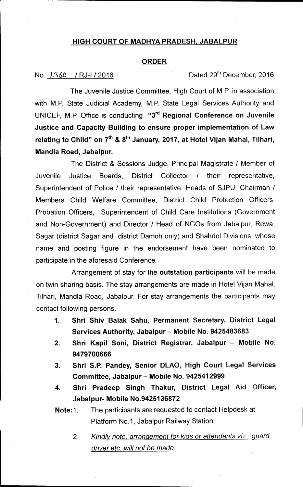## **HIGH COURT OF MADHYA PRADESH, JABALPUR**

### **ORDER**

No.  $1360$  / RJ-I / 2016 **Dated 29<sup>th</sup> December, 2016** 

The Juvenile Justice Committee, High Court of M.P. in association with M.P. State Judicial Academy, M.P. State Legal Services Authority and UNICEF, M.P. Office is conducting "3rd **Regional Conference on Juvenile Justice and Capacity Building to ensure proper implementation of Law**  relating to Child" on 7<sup>th</sup> & 8<sup>th</sup> January, 2017, at Hotel Vijan Mahal, Tilhari, **Mandla Road, Jabalpur.** 

The District & Sessions Judge, Principal Magistrate / Member of Juvenile Justice Boards, District Collector / their representative, Superintendent of Police / their representative, Heads of SJPU, Chairman / Members Child Welfare Committee, District Child Protection Officers, Probation Officers, Superintendent of Child Care Institutions (Government and Non-Government) and Director / Head of NGOs from Jabalpur, Rewa, Sagar (district Sagar and district Damoh only) and Shahdol Divisions, whose name and posting figure in the endorsement have been nominated to participate in the aforesaid Conference.

Arrangement of stay for the **outstation participants** will be made on twin sharing basis. The stay arrangements are made in Hotel Vijan Mahal, Tilhari, Mandla Road, Jabalpur. For stay arrangements the participants may contact following persons.

- **1. Shri Shiv Balak Sahu, Permanent Secretary, District Legal Services Authority, Jabalpur — Mobile No. 9425483683**
- **2. Shri Kapil Soni, District Registrar, Jabalpur Mobile No. 9479700666**
- **3. Shri S.P. Pandey, Senior DLAO, High Court Legal Services Committee, Jabalpur - Mobile No. 9425412999**
- **4. Shri Pradeep Singh Thakur, District Legal Aid Officer, Jabalpur- Mobile No.9425136872**
- **Note:1.** The participants are requested to contact Helpdesk at Platform No.1, Jabalpur Railway Station.
	- 2. *Kindly note, arrangement for kids or attendants viz, guard, driver etc. will not be made.*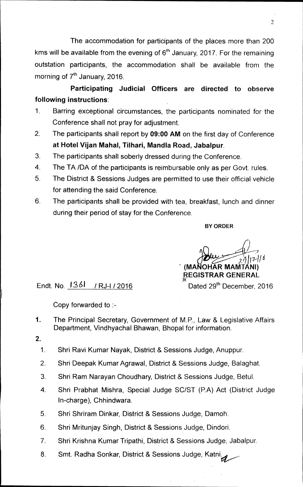The accommodation for participants of the places more than 200 kms will be available from the evening of  $6<sup>th</sup>$  January, 2017. For the remaining outstation participants, the accommodation shall be available from the morning of 7<sup>th</sup> January, 2016.

**Participating Judicial Officers are directed to observe following instructions:** 

- 1. Barring exceptional circumstances, the participants nominated for the Conference shall not pray for adjustment.
- 2. The participants shall report by **09:00 AM** on the first day of Conference **at Hotel Vijan Mahal, Tilhari, Mandla Road, Jabalpur.**
- 3. The participants shall soberly dressed during the Conference.
- 4. The TA /DA of the participants is reimbursable only as per Govt. rules
- 5. The District & Sessions Judges are permitted to use their official vehicle for attending the said Conference.
- 6. The participants shall be provided with tea, breakfast, lunch and dinner during their period of stay for the Conference.

**BY ORDER** 

 $171/6$ **(MANOHAR MAMTANI) REGISTRAR GENERAL** 

Endt. No.  $\frac{1361}{18}$  / RJ-I / 2016

Copy forwarded to :-

- 1. The Principal Secretary, Government of M.P., Law & Legislative Affairs Department, Vindhyachal Bhawan, Bhopal for information.
- **2.** 
	- 1. Shri Ravi Kumar Nayak, District & Sessions Judge, Anuppur.
	- 2. Shri Deepak Kumar Agrawal, District & Sessions Judge, Balaghat.
	- 3. Shri Ram Narayan Choudhary, District & Sessions Judge, Betul..
	- 4. Shri Prabhat Mishra, Special Judge SC/ST (P.A) Act (District Judge In-charge), Chhindwara.
	- 5. Shri Shriram Dinkar, District & Sessions Judge, Damoh.
	- 6. Shri Mritunjay Singh, District & Sessions Judge, Dindori.
	- 7. Shri Krishna Kumar Tripathi, District & Sessions Judge, Jabalpur.
	- 8. Smt. Radha Sonkar, District & Sessions Judge, Katni.

2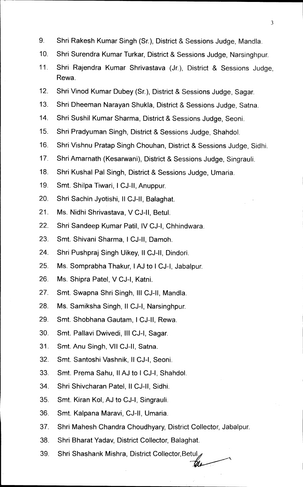- 9. Shri Rakesh Kumar Singh (Sr.), District & Sessions Judge, Mandla.
- 10. Shri Surendra Kumar Turkar, District & Sessions Judge, Narsinghpur.
- 11. Shri Rajendra Kumar Shrivastava (Jr.), District & Sessions Judge, Rewa
- 12. Shri Vinod Kumar Dubey (Sr.), District & Sessions Judge, Sagar.
- 13. Shri Dheeman Narayan Shukla, District & Sessions Judge, Satna.
- 14. Shri Sushil Kumar Sharma, District & Sessions Judge, Seoni.
- 15. Shri Pradyuman Singh, District & Sessions Judge, Shahdol.
- 16. Shri Vishnu Pratap Singh Chouhan, District & Sessions Judge, Sidhi.
- 17. Shri Amarnath (Kesarwani), District & Sessions Judge, Singrauli.
- 18. Shri Kushal Pal Singh, District & Sessions Judge, Umaria.
- 19. Smt. Shilpa Tiwari, I CJ-II, Anuppur.
- 20. Shri Sachin Jyotishi, II CJ-II, Balaghat.
- 21. Ms. Nidhi Shrivastava, V CJ-II, Betul.
- 22. Shri Sandeep Kumar Patil, IV CJ-I, Chhindwara.
- 23. Smt. Shivani Sharma, I CJ-II, Damoh.
- 24. Shri Pushpraj Singh Uikey, II CJ-II, Dindori.
- 25. Ms. Somprabha Thakur, I AJ to I CJ-I, Jabalpur.
- 26. Ms. Shipra Patel, V CJ-I, Katni.
- 27. Smt. Swapna Shri Singh, III CJ-II, Mandla.
- 28. Ms. Samiksha Singh, II CJ-I, Narsinghpur.
- 29. Smt. Shobhana Gautam, I CJ-II, Rewa.
- 30. Smt. Pallavi Dwivedi, III CJ-I, Sagar.
- 31. Smt. Anu Singh, VII CJ-II, Satna.
- 32. Smt. Santoshi Vashnik, II CJ-I, Seoni.
- 33. Smt. Prema Sahu, II AJ to I CJ-I, Shahdol.
- 34. Shri Shivcharan Patel, II CJ-II, Sidhi.
- 35. Smt. Kiran Kol, AJ to CJ-I, Singrauli.
- 36. Smt. Kalpana Maravi, CJ-II, Umaria.
- 37. Shri Mahesh Chandra Choudhyary, District Collector, Jabalpur.

the

- 38. Shri Bharat Yadav, District Collector, Balaghat.
- 39. Shri Shashank Mishra, District Collector,Betul.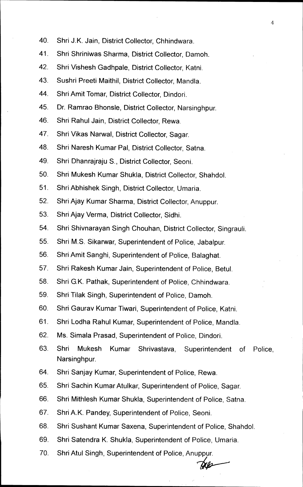- 40. Shri J.K. Jain, District Collector, Chhindwara.
- 41. Shri Shriniwas Sharma, District Collector, Damoh.
- 42. Shri Vishesh Gadhpale, District Collector, Katni.
- 43. Sushri Preeti Maithil, District Collector, Mandla.
- 44. Shri Amit Tomar, District Collector, Dindori.
- 45. Dr. Ramrao Bhonsle, District Collector, Narsinghpur.
- 46. Shri Rahul Jain, District Collector, Rewa.
- 47. Shri Vikas Narwal, District Collector, Sagar.
- 48. Shri Naresh Kumar Pal, District Collector, Satna.
- 49. Shri Dhanrajraju S., District Collector, Seoni.
- 50. Shri Mukesh Kumar Shukla, District Collector, Shahdol.
- 51. Shri Abhishek Singh, District Collector, Umaria.
- 52. Shri Ajay Kumar Sharma, District Collector, Anuppur.
- 53. Shri Ajay Verma, District Collector, Sidhi.
- 54. Shri Shivnarayan Singh Chouhan, District Collector, Singrauli.
- 55. Shri M.S. Sikarwar, Superintendent of Police, Jabalpur.
- 56. Shri Amit Sanghi, Superintendent of Police, Balaghat.
- 57. Shri Rakesh Kumar Jain, Superintendent of Police, Betul.
- 58. Shri G.K. Pathak, Superintendent of Police, Chhindwara.
- 59. Shri Tilak Singh, Superintendent of Police, Damoh.
- 60. Shri Gaurav Kumar Tiwari, Superintendent of Police, Katni.
- 61. Shri Lodha Rahul Kumar, Superintendent of Police, Mandla.
- 62. Ms. Simala Prasad, Superintendent of Police, Dindori.
- 63. Shri Mukesh Kumar Shrivastava, Superintendent of Police, Narsinghpur.
- 64. Shri Sanjay Kumar, Superintendent of Police, Rewa.
- 65. Shri Sachin Kumar Atulkar, Superintendent of Police, Sagar.
- 66. Shri Mithlesh Kumar Shukla, Superintendent of Police, Satna.
- 67. Shri A.K. Pandey, Superintendent of Police, Seoni.
- 68. Shri Sushant Kumar Saxena, Superintendent of Police, Shahdol.
- 69. Shri Satendra K. Shukla, Superintendent of Police, Umaria.
- 70. Shri Atul Singh, Superintendent of Police, Anuppur.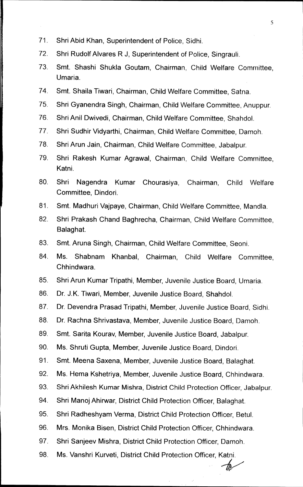- 71. Shri Abid Khan, Superintendent of Police, Sidhi.
- 72. Shri Rudolf Alvares R J, Superintendent of Police, Singrauli.
- 73. Smt. Shashi Shukla Goutam, Chairman, Child Welfare Committee, Umaria.

5

- 74. Smt. Shaila Tiwari, Chairman, Child Welfare Committee, Satna.
- 75. Shri Gyanendra Singh, Chairman, Child Welfare Committee, Anuppur.
- 76. Shri Anil Dwivedi, Chairman, Child Welfare Committee, Shahdol.
- 77. Shri Sudhir Vidyarthi, Chairman, Child Welfare Committee, Damoh.
- 78. Shri Arun Jain, Chairman, Child Welfare Committee, Jabalpur.
- 79. Shri Rakesh Kumar Agrawal, Chairman, Child Welfare Committee, Katni.
- 80. Shri Nagendra Kumar Chourasiya, Chairman, Child Welfare Committee, Dindori.
- 81. Smt. Madhuri Vajpaye, Chairman, Child Welfare Committee, Mandla.
- 82. Shri Prakash Chand Baghrecha, Chairman, Child Welfare Committee, Balaghat.
- 83. Smt. Aruna Singh, Chairman, Child Welfare Committee, Seoni.
- 84. Ms. Shabnam Khanbal, Chairman, Child Welfare Committee, Chhindwara.
- 85. Shri Arun Kumar Tripathi, Member, Juvenile Justice Board, Umaria.
- 86. Dr. J.K. Tiwari, Member, Juvenile Justice Board, Shahdol.
- 87. Dr. Devendra Prasad Tripathi, Member, Juvenile Justice Board, Sidhi.
- 88. Dr. Rachna Shrivastava, Member, Juvenile Justice Board, Damoh.
- 89. Smt. Santa Kourav, Member, Juvenile Justice Board, Jabalpur.
- 90. Ms. Shruti Gupta, Member, Juvenile Justice Board, Dindori.
- 91. Smt. Meena Saxena, Member, Juvenile Justice Board, Balaghat.
- 92. Ms. Hema Kshetriya, Member, Juvenile Justice Board, Chhindwara.
- 93. Shri Akhilesh Kumar Mishra, District Child Protection Officer, Jabalpur.
- 94. Shri Manoj Ahirwar, District Child Protection Officer, Balaghat.
- 95. Shri Radheshyam Verma, District Child Protection Officer, Betul.
- 96. Mrs. Monika Bisen, District Child Protection Officer, Chhindwara.
- 97. Shri Sanjeev Mishra, District Child Protection Officer, Damoh.
- 98. Ms. Vanshri Kurveti, District Child Protection Officer, Katni.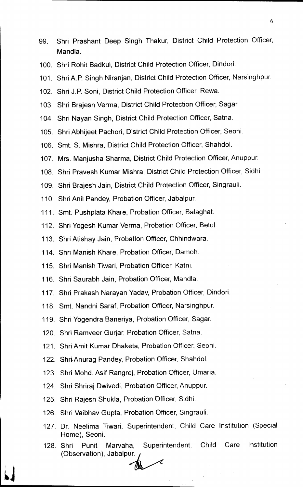- 99. Shri Prashant Deep Singh Thakur, District Child Protection Officer, Mandla.
- 100. Shri Rohit Badkul, District Child Protection Officer, Dindori.
- 101. Shri A.P. Singh Niranjan, District Child Protection Officer, Narsinghpur.
- 102. Shri J.P. Soni, District Child Protection Officer, Rewa.
- 103. Shri Brajesh Verma, District Child Protection Officer, Sagar.
- 104. Shri Nayan Singh, District Child Protection Officer, Satna.
- 105. Shri Abhijeet Pachori, District Child Protection Officer, Seoni.
- 106. Smt. S. Mishra, District Child Protection Officer, Shahdol.
- 107. Mrs. Manjusha Sharma, District Child Protection Officer, Anuppur.
- 108. Shri Pravesh Kumar Mishra, District Child Protection Officer, Sidhi.
- 109. Shri Brajesh Jain, District Child Protection Officer, Singrauli.
- 110. Shri Anil Pandey, Probation Officer, Jabalpur.
- 111. Smt. Pushplata Khare, Probation Officer, Balaghat.
- 112. Shri Yogesh Kumar Verma, Probation Officer, Betul.
- 113. Shri Atishay Jain, Probation Officer, Chhindwara.
- 114. Shri Manish Khare, Probation Officer, Damoh.
- 115. Shri Manish Tiwari, Probation Officer, Katni.
- 116. Shri Saurabh Jain, Probation Officer, Mandla.
- 117. Shri Prakash Narayan Yadav, Probation Officer, Dindori.
- 118. Smt. Nandni Saraf, Probation Officer, Narsinghpur.
- 119. Shri Yogendra Baneriya, Probation Officer, Sagar.
- 120. Shri Ramveer Gurjar, Probation Officer, Satna.
- 121. Shri Amit Kumar Dhaketa, Probation Officer, Seoni.
- 122. Shri Anurag Pandey, Probation Officer, Shahdol.
- 123. Shri Mohd. Asif Rangrej, Probation Officer, Umaria.
- 124. Shri Shriraj Dwivedi, Probation Officer, Anuppur.
- 125. Shri Rajesh Shukla, Probation Officer, Sidhi.
- 126. Shri Vaibhav Gupta, Probation Officer, Singrauli.
- 127. Dr. Neelima Tiwari, Superintendent, Child Care Institution (Special Home), Seoni.
- 128. Shri Punit Marvaha, Superintendent, Child Care Institution (Observation), Jabalpur.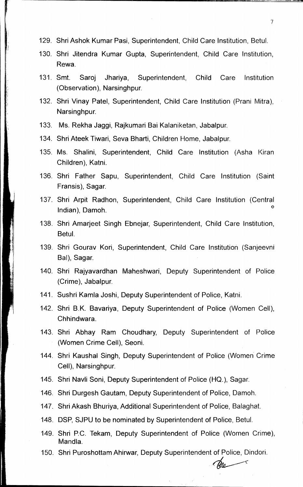- 129. Shri Ashok Kumar Pasi, Superintendent, Child Care Institution, Betul.
- 130. Shri Jitendra Kumar Gupta, Superintendent, Child Care Institution, Rewa.
- 131. Smt. Saroj Jhariya, Superintendent, Child Care Institution (Observation), Narsinghpur.
- 132. Shri Vinay Patel, Superintendent, Child Care Institution (Prani Mitra), Narsinghpur.
- 133. Ms. Rekha Jaggi, Rajkumari Bai Kalaniketan, Jabalpur.
- 134. Shri Ateek Tiwari, Seva Bharti, Children Home, Jabalpur.
- 135. Ms. Shalini, Superintendent, Child Care Institution (Asha Kiran Children), Katni.
- 136. Shri Father Sapu, Superintendent, Child Care Institution (Saint Fransis), Sagar.
- 137. Shri Arpit Radhon, Superintendent, Child Care Institution (Central Indian), Damoh.
- 138. Shri Amarjeet Singh Ebnejar, Superintendent, Child Care Institution, Betul.
- 139. Shri Gourav Kori, Superintendent, Child Care Institution (Sanjeevni Bal), Sagar.
- 140. Shri Rajyavardhan Maheshwari, Deputy Superintendent of Police (Crime), Jabalpur.
- 141. Sushri Kamla Joshi, Deputy Superintendent of Police, Katni.
- 142. Shri B.K. Bavariya, Deputy Superintendent of Police (Women Cell), Chhindwara.
- 143. Shri Abhay Ram Choudhary, Deputy Superintendent of Police (Women Crime Cell), Seoni.
- 144. Shri Kaushal Singh, Deputy Superintendent of Police (Women Crime Cell), Narsinghpur.
- 145. Shri Navli Soni, beputy Superintendent of Police (HQ.), Sagar.
- 146. Shri Durgesh Gautam, Deputy Superintendent of Police, Damoh.
- 147. Shri Akash Bhuriya, Additional Superintendent of Police, Balaghat.
- 148. DSP, SJPU to be nominated by Superintendent of Police, Betul.
- 149. Shri P.C. Tekam, Deputy Superintendent of Police (Women Crime), Mandla.
- 150. Shri Puroshottam Ahirwar, Deputy Superintendent of Police, Dindori.

7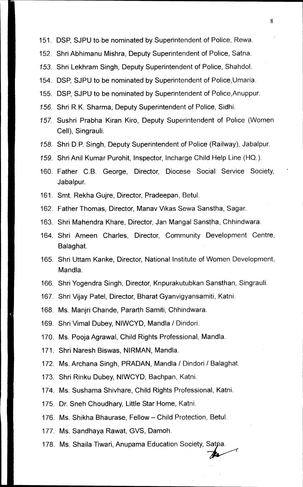- 151. DSP, SJPU to be nominated by Superintendent of Police, Rewa.
- 152. Shri Abhimanu Mishra, Deputy Superintendent of Police, Satna.
- 153. Shri Lekhram Singh, Deputy Superintendent of Police, Shahdol.
- 154. DSP, SJPU to be nominated by Superintendent of Police,Umaria.
- 155. DSP, SJPU to be nominated by Superintendent of Police,Anuppur.
- 156. Shri R.K. Sharma, Deputy Superintendent of Police, Sidhi.
- 157. Sushri Prabha Kiran Kiro, Deputy Superintendent of Police (Women Cell), Singrauli.
- 158. Shri D.P. Singh, Deputy Superintendent of Police (Railway), Jabalpur.
- /59. Shri Anil Kumar Purohit, Inspector, lncharge Child Help Line (HQ.).
- 160. Father C.B. George, Director, Diocese Social Service Society, Jabalpur.
- 161. Smt. Rekha Gujre, Director, Pradeepan, Betul.
- 162. Father Thomas, Director, Manav Vikas Sewa Sanstha, Sagar.
- 163. Shri Mahendra Khare, Director, Jan Mangal Sanstha, Chhindwara.
- 164. Shri Ameen Charles, Director, Community Development Centre, Balaghat.
- 165. Shri Uttam Kanke, Director, National Institute of Women Development, Mandla.
- 166. Shri Yogendra Singh, Director, Knpurakutubkan Sansthan, Singrauli.
- 167. Shri Vijay Patel, Director, Bharat Gyanvigyansamiti, Katni.
- 168. Ms. Manjri Chande, Pararth Samiti, Chhindwara.
- 169. Shri Vimal Dubey, NIWCYD, Mandla / Dindori.
- 170. Ms. Pooja Agrawal, Child Rights Professional, Mandla.
- 171. Shri Naresh Biswas, NIRMAN, Mandla.
- 172. Ms. Archana Singh, PRADAN, Mandla / Dindori / Balaghat.
- 173. Shri Rinku Dubey, NIWCYD, Bachpan, Katni.
- 174. Ms. Sushama Shivhare, Child Rights Professional, Katni.
- 175. Dr. Sneh Choudhary, Little Star Home, Katni.
- 176. Ms. Shikha Bhaurase, Fellow—Child Protection, Betul.
- 177. Ms. Sandhaya Rawat, GVS, Damoh.
- 178. Ms. Shaila Tiwari, Anupama Education Society, Satna.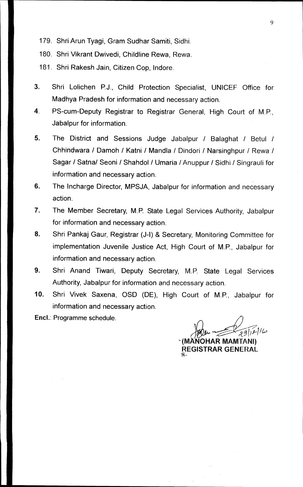- **179. Shri Arun Tyagi, Gram Sudhar Samiti, Sidhi.**
- **180. Shri Vikrant Dwivedi, Childline Rewa, Rewa.**
- **181. Shri Rakesh Jain, Citizen Cop, Indore.**
- **3. Shri Lolichen P.J., Child Protection Specialist, UNICEF Office for Madhya Pradesh for information and necessary action.**
- **4. PS-cum-Deputy Registrar to Registrar General, High Court of M.P., Jabalpur for information.**
- **5. The District and Sessions Judge Jabalpur / Balaghat / Betul / Chhindwara / Damoh / Katni / Mandla / Dindori / Narsinghpur / Rewa / Sagar / Satna/ Seoni / Shahdol / Umaria / Anuppur / Sidhi / Singrauli for information and necessary action.**
- **6. The Incharge Director, MPSJA, Jabalpur for information and necessary action.**
- **7. The Member Secretary, M.P. State Legal Services Authority, Jabalpur for information and necessary action.**
- **8. Shri Pankaj Gaur, Registrar (J-I) & Secretary, Monitoring Committee for implementation Juvenile Justice Act, High Court of M.P., Jabalpur for information and necessary action.**
- **9. Shri Anand Tiwari, Deputy Secretary, M.P. State Legal Services Authority, Jabalpur for information and necessary action.**
- **10. Shri Vivek Saxena, OSD (DE), High Court of M.P., Jabalpur for information and necessary action.**
- **Encl.: Programme schedule.**

**IMANOHAR MAMTANI) REGISTRAR GENERAL**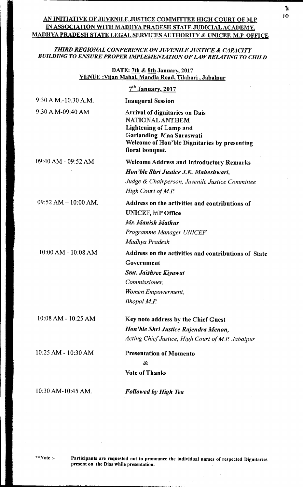# <sup>10</sup>**AN INITIATIVE OF JUVENILE JUSTICE COMMITTEE HIGH COURT OF M.P IN ASSOCIATION WITH MADHYA PRADESH STATE JUDICIAL ACADEMY, MADHYA PRADESH STATE LEGAL SERVICES AUTHORITY & UNICEF, M.P. OFFICE**

## *THIRD REGIONAL CONFERENCE ON JUVENILE JUSTICE & CAPACITY BUILDING TO ENSURE PROPER IMPLEMENTATION OF LAW RELATING TO CHILD*

### **DATE: 7th & 8th January, 2017 VENUE :Viian Mahal, Mandla Road, Tilahari , Jabalpur**

| Welcome of Hon'ble Dignitaries by presenting         |
|------------------------------------------------------|
|                                                      |
|                                                      |
| <b>Welcome Address and Introductory Remarks</b>      |
| Hon'ble Shri Justice J.K. Maheshwari,                |
| Judge & Chairperson, Juvenile Justice Committee      |
| Address on the activities and contributions of       |
|                                                      |
| Address on the activities and contributions of State |
|                                                      |
|                                                      |
|                                                      |
|                                                      |
|                                                      |
| Hon'ble Shri Justice Rajendra Menon,                 |
| Acting Chief Justice, High Court of M.P. Jabalpur    |
|                                                      |
|                                                      |
|                                                      |
|                                                      |

**\*\*Note :- Participants are requested not to pronounce the individual names of respected Dignitaries present on the Dias while presentation.**  $\sim$ 

 $\sim$ 

 $\hat{\mathcal{A}}$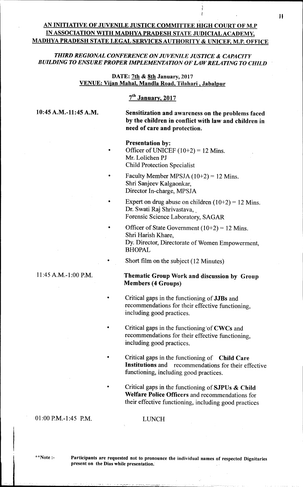# **AN INITIATIVE OF JUVENILE JUSTICE COMMITTEE HIGH COURT OF M.P IN ASSOCIATION WITH MADHYA PRADESH STATE JUDICIAL ACADEMY, MADHYA PRADESH STATE LEGAL SERVICES AUTHORITY & UNICEF, M.P. OFFICE**

## *THIRD REGIONAL CONFERENCE ON JUVENILE JUSTICE & CAPACITY BUILDING TO ENSURE PROPER IMPLEMENTATION OF LAW RELATING TO CHILD*

**DATE: 7th & 8th January, 2017 VENUE: Viian Mahal, Mandla Road, Tilahari , Jabalpur** 

# **71" January, 2017**

**10:45 A.M.-11:45 A.M. Sensitization and awareness on the problems faced by the children in conflict with law and children in need of care and protection.** 

- **Presentation by:**  Officer of UNICEF  $(10+2) = 12$  Mins. Mr. Lolichen PJ Child Protection Specialist
- Faculty Member MPSJA  $(10+2) = 12$  Mins. Shri Sanjeev Kalgaonkar, Director In-charge, MPSJA
- Expert on drug abuse on children  $(10+2) = 12$  Mins. Dr. Swati Raj Shrivastava, Forensic Science Laboratory, SAGAR
- Officer of State Government  $(10+2) = 12$  Mins. Shri Harish Khare, Dy. Director, Directorate of Women Empowerment, BHOPAL
- Short film on the subject (12 Minutes)

# 11:45 A.M.-1:00 **P.M. Thematic Group Work and discussion by Group Members (4 Groups)**

- Critical gaps in the functioning of **JJBs** and recommendations for their effective functioning, including good practices.
- Critical gaps in the functioning of  $CWCs$  and recommendations for their effective functioning, including good practices.
- Critical gaps in the functioning of **Child Care Institutions** and recommendations for their effective functioning, including good practices.
- Critical gaps in the functioning of **SJPUs & Child Welfare Police Officers** and recommendations for their effective functioning, including good practices

### 01:00 P.M.-1:45 P.M. LUNCH

**\*\*Note :- Participants are requested not to pronounce the individual names of respected Dignitaries present on the Dias while presentation.**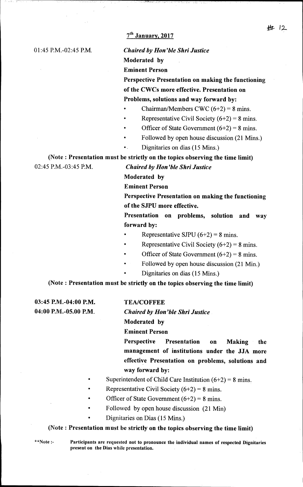# **7th January, January, 2017**

### 01:45 P.M.-02:45 P.M. *Chaired by Hon'ble Shri Justice*

**Moderated by** 

**Eminent Person** 

**Perspective Presentation on making the functioning of the CWCs more effective. Presentation on Problems, solutions and way forward by:** 

- Chairman/Members CWC  $(6+2) = 8$  mins.
- Representative Civil Society  $(6+2) = 8$  mins.
- Officer of State Government  $(6+2) = 8$  mins.
- Followed by open house discussion (21 Mins.)
- Dignitaries on dias (15 Mins.)

**(Note : Presentation must be strictly on the topics observing the time limit)** 

02:45 P.M.-03:45 P.M. *Chaired by Hon'ble Shri Justice* 

**Moderated by** 

**Eminent Person** 

**Perspective Presentation on making the functioning of the SJPU more effective.** 

**Presentation on problems, solution and way forward by:** 

- Representative SJPU  $(6+2) = 8$  mins.
- Representative Civil Society  $(6+2) = 8$  mins.
- Officer of State Government  $(6+2) = 8$  mins.
- Followed by open house discussion (21 Min.)
	- Dignitaries on dias (15 Mins.)

(Note : **Presentation must be strictly on the topics observing the time limit)** 

**03:45 P.M.-04:00 P.M. TEA/COFFEE** 

**04:00 P.M.-05.00 P.M.** *Chaired by Hon'ble Shri Justice* 

### **Moderated by**

### **Eminent Person**

**Perspective Presentation on Making the management of institutions under the JJA more effective Presentation on problems, solutions and way forward by:** 

- Superintendent of Child Care Institution  $(6+2) = 8$  mins.
- Representative Civil Society  $(6+2) = 8$  mins.
- Officer of State Government  $(6+2) = 8$  mins.
- Followed by open house discussion (21 Min)
	- Dignitaries on Dias (15 Mins.)

### (Note : **Presentation must be strictly on the topics observing the time limit)**

**\*\*Note :- Participants are requested not to pronounce the individual names of respected Dignitaries present on the Dias while presentation.**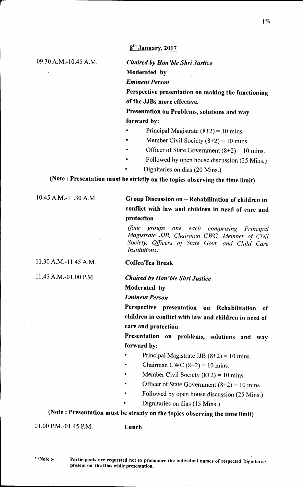# **86 January, 2017**

09.30 A.M.-10.45 A.M. *Chaired by Hon'ble Shri Justice*  **Moderated by**  *Eminent Person* 

> **Perspective presentation on making the functioning of the JJBs more effective.**

**Presentation on Problems, solutions and way forward by:** 

- Principal Magistrate  $(8+2) = 10$  mins.
- Member Civil Society  $(8+2) = 10$  mins.
- Officer of State Government  $(8+2) = 10$  mins.
- Followed by open house discussion (25 Mins.)
- Dignitaries on dias (20 Mins.)

**(Note: Presentation must be strictly on the topics observing the time limit)** 

# 10.45 A.M.-11.30 A.M. **Group Discussion on — Rehabilitation of children in conflict with law and children in need of care and protection**

*your groups one each comprising Principal Magistrate JIB, Chairman CWC, Member of Civil Society, Officers of State Govt. and Child Care Institutions)* 

11.30 A.M. -11.45 A.M.

11.45 A.M.-01.00 P.M.

**Coffee/Tea Break** 

*Chaired by Hon'ble Shri Justice* 

**Moderated by** 

*Eminent Person* 

**Perspective presentation on Rehabilitation of children in conflict with law and children in need of care and protection** 

**Presentation on problems, solutions and way forward by:** 

- Principal Magistrate JJB  $(8+2) = 10$  mins.
- Chairman CWC  $(8+2) = 10$  mins.
- Member Civil Society  $(8+2) = 10$  mins.
- Officer of State Government  $(8+2) = 10$  mins.
- Followed by open house discussion (25 Mins.)
- Dignitaries on dias (15 Mins.)

**(Note : Presentation must be strictly on the topics observing the time limit)** 

01.00 P.M.-01.45 P.M. **Lunch** 

**\*\*Note :-** 

**Participants are requested not to pronounce the individual names of respected Dignitaries present on the Dias while presentation.**